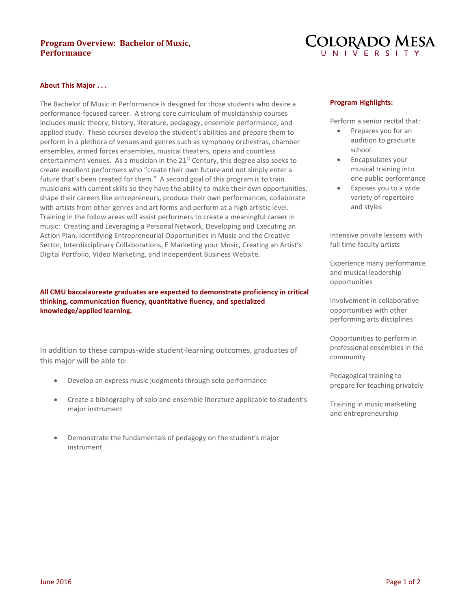# **Program Overview: Bachelor of Music, Performance**



#### **About This Major . . .**

The Bachelor of Music in Performance is designed for those students who desire a performance-focused career. A strong core curriculum of musicianship courses includes music theory, history, literature, pedagogy, ensemble performance, and applied study. These courses develop the student's abilities and prepare them to perform in a plethora of venues and genres such as symphony orchestras, chamber ensembles, armed forces ensembles, musical theaters, opera and countless entertainment venues. As a musician in the 21<sup>st</sup> Century, this degree also seeks to create excellent performers who "create their own future and not simply enter a future that's been created for them." A second goal of this program is to train musicians with current skills so they have the ability to make their own opportunities, shape their careers like entrepreneurs, produce their own performances, collaborate with artists from other genres and art forms and perform at a high artistic level. Training in the follow areas will assist performers to create a meaningful career in music: Creating and Leveraging a Personal Network, Developing and Executing an Action Plan, Identifying Entrepreneurial Opportunities in Music and the Creative Sector, Interdisciplinary Collaborations, E Marketing your Music, Creating an Artist's Digital Portfolio, Video Marketing, and Independent Business Website.

## **All CMU baccalaureate graduates are expected to demonstrate proficiency in critical thinking, communication fluency, quantitative fluency, and specialized knowledge/applied learning.**

In addition to these campus-wide student-learning outcomes, graduates of this major will be able to:

- Develop an express music judgments through solo performance
- Create a bibliography of solo and ensemble literature applicable to student's major instrument
- Demonstrate the fundamentals of pedagogy on the student's major instrument

#### **Program Highlights:**

Perform a senior recital that:

- Prepares you for an audition to graduate school
- Encapsulates your musical training into one public performance
- Exposes you to a wide variety of repertoire and styles

Intensive private lessons with full time faculty artists

Experience many performance and musical leadership opportunities

Involvement in collaborative opportunities with other performing arts disciplines

Opportunities to perform in professional ensembles in the community

Pedagogical training to prepare for teaching privately

Training in music marketing and entrepreneurship